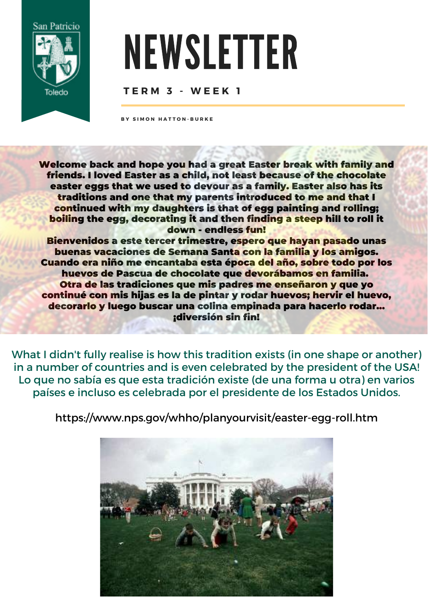

## NEWSLETTER

## **T E R M 3 - W E E K 1**

**B Y S I M O N H A T T O N - B U R K E**

Welcome back and hope you had a great Easter break with family and friends. I loved Easter as a child, not least because of the chocolate easter eggs that we used to devour as a family. Easter also has its traditions and one that my parents introduced to me and that I continued with my daughters is that of egg painting and rolling; boiling the egg, decorating it and then finding a steep hill to roll it down - endless fun!

Bienvenidos a este tercer trimestre, espero que hayan pasado unas buenas vacaciones de Semana Santa con la familia y los amigos. Cuando era niño me encantaba esta época del año, sobre todo por los huevos de Pascua de chocolate que devorábamos en familia. Otra de las tradiciones que mis padres me enseñaron y que yo continué con mis hijas es la de pintar y rodar huevos; hervir el huevo, decorarlo y luego buscar una colina empinada para hacerlo rodar... ¡diversión sin fin!

What I didn't fully realise is how this tradition exists (in one shape or another) in a number of countries and is even celebrated by the president of the USA! Lo que no sabía es que esta tradición existe (de una forma u otra) en varios países e incluso es celebrada por el presidente de los Estados Unidos.

<https://www.nps.gov/whho/planyourvisit/easter-egg-roll.htm>

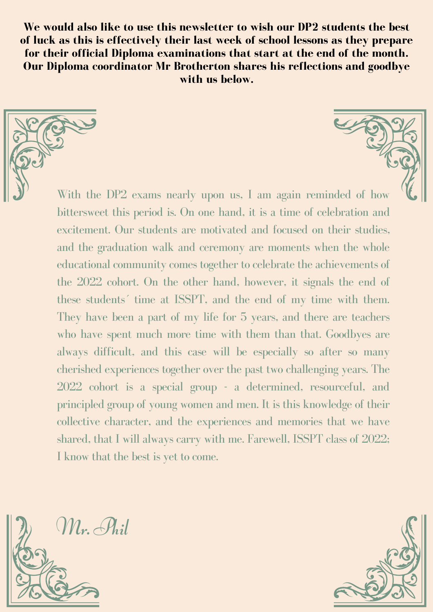**We would also like to use this newsletter to wish our DP2 students the best of luck as this is effectively their last week of school lessons as they prepare for their official Diploma examinations that start at the end of the month. Our Diploma coordinator Mr Brotherton shares his reflections and goodbye with us below.**

With the DP2 exams nearly upon us, I am again reminded of how bittersweet this period is. On one hand, it is a time of celebration and excitement. Our students are motivated and focused on their studies, and the graduation walk and ceremony are moments when the whole educational community comes together to celebrate the achievements of the 2022 cohort. On the other hand, however, it signals the end of these students´ time at ISSPT, and the end of my time with them. They have been a part of my life for 5 years, and there are teachers who have spent much more time with them than that. Goodbyes are always difficult, and this case will be especially so after so many cherished experiences together over the past two challenging years. The 2022 cohort is a special group - a determined, resourceful, and principled group of young women and men. It is this knowledge of their collective character, and the experiences and memories that we have shared, that I will always carry with me. Farewell, ISSPT class of 2022; I know that the best is yet to come.

Mr. Phil

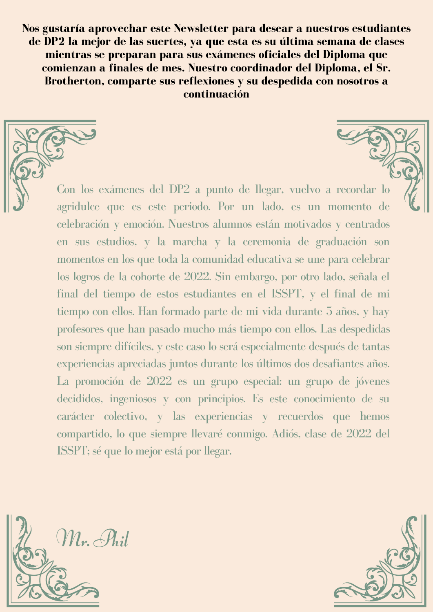**Nos gustaría aprovechar este Newsletter para desear a nuestros estudiantes de DP2 la mejor de las suertes, ya que esta es su última semana de clases mientras se preparan para sus exámenes oficiales del Diploma que comienzan a finales de mes. Nuestro coordinador del Diploma, el Sr. Brotherton, comparte sus reflexiones y su despedida con nosotros a continuación**

Con los exámenes del DP2 a punto de llegar, vuelvo a recordar lo agridulce que es este periodo. Por un lado, es un momento de celebración y emoción. Nuestros alumnos están motivados y centrados en sus estudios, y la marcha y la ceremonia de graduación son momentos en los que toda la comunidad educativa se une para celebrar los logros de la cohorte de 2022. Sin embargo, por otro lado, señala el final del tiempo de estos estudiantes en el ISSPT, y el final de mi tiempo con ellos. Han formado parte de mi vida durante 5 años, y hay profesores que han pasado mucho más tiempo con ellos. Las despedidas son siempre difíciles, y este caso lo será especialmente después de tantas experiencias apreciadas juntos durante los últimos dos desafiantes años. La promoción de 2022 es un grupo especial: un grupo de jóvenes decididos, ingeniosos y con principios. Es este conocimiento de su carácter colectivo, y las experiencias y recuerdos que hemos compartido, lo que siempre llevaré conmigo. Adiós, clase de 2022 del ISSPT; sé que lo mejor está por llegar.



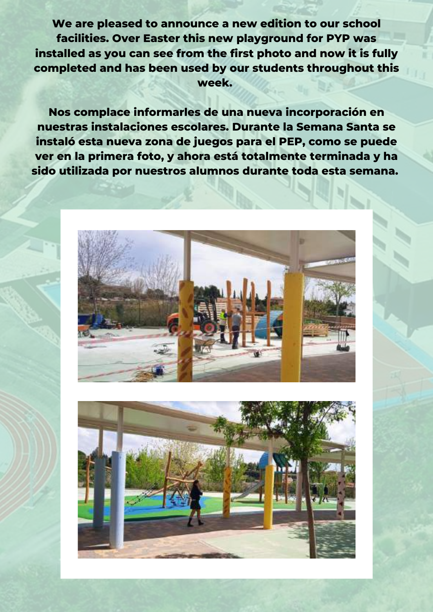**We are pleased to announce a new edition to our school facilities. Over Easter this new playground for PYP was installed as you can see from the first photo and now it is fully completed and has been used by our students throughout this week.**

**Nos complace informarles de una nueva incorporación en nuestras instalaciones escolares. Durante la Semana Santa se instaló esta nueva zona de juegos para el PEP, como se puede ver en la primera foto, y ahora está totalmente terminada y ha sido utilizada por nuestros alumnos durante toda esta semana.**



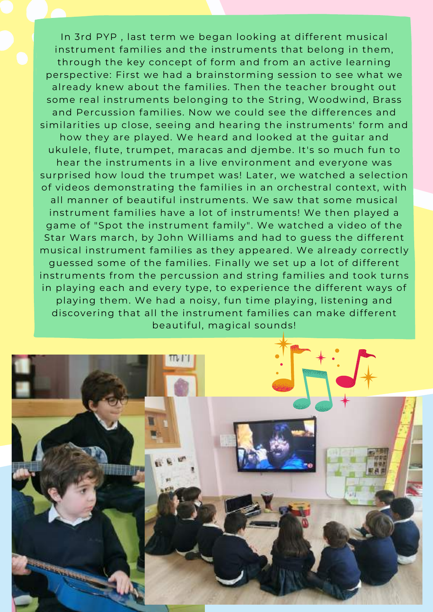In 3rd PYP , last term we began looking at different musical instrument families and the instruments that belong in them, through the key concept of form and from an active learning perspective: First we had a brainstorming session to see what we already knew about the families. Then the teacher brought out some real instruments belonging to the String, Woodwind, Brass and Percussion families. Now we could see the differences and similarities up close, seeing and hearing the instruments' form and how they are played. We heard and looked at the guitar and ukulele, flute, trumpet, maracas and djembe. It's so much fun to hear the instruments in a live environment and everyone was surprised how loud the trumpet was! Later, we watched a selection of videos demonstrating the families in an orchestral context, with all manner of beautiful instruments. We saw that some musical instrument families have a lot of instruments! We then played a game of "Spot the instrument family". We watched a video of the Star Wars march, by John Williams and had to guess the different musical instrument families as they appeared. We already correctly guessed some of the families. Finally we set up a lot of different instruments from the percussion and string families and took turns in playing each and every type, to experience the different ways of playing them. We had a noisy, fun time playing, listening and discovering that all the instrument families can make different beautiful, magical sounds!

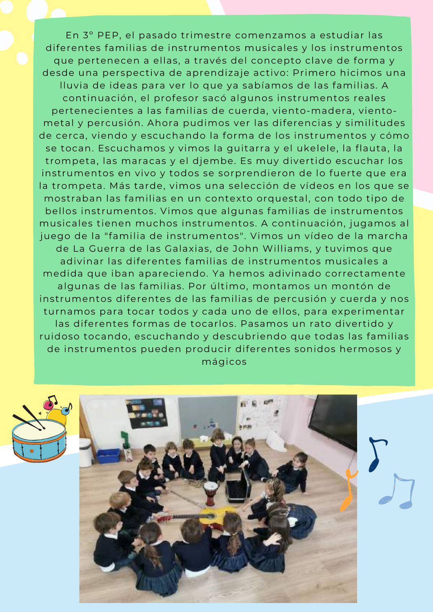En 3º PEP, el pasado trimestre comenzamos a estudiar las diferentes familias de instrumentos musicales y los instrumentos que pertenecen a ellas, a través del concepto clave de forma y desde una perspectiva de aprendizaje activo: Primero hicimos una lluvia de ideas para ver lo que ya sabíamos de las familias. A continuación, el profesor sacó algunos instrumentos reales pertenecientes a las familias de cuerda, viento-madera, vientometal y percusión. Ahora pudimos ver las diferencias y similitudes de cerca, viendo y escuchando la forma de los instrumentos y cómo se tocan. Escuchamos y vimos la guitarra y el ukelele, la flauta, la trompeta, las maracas y el djembe. Es muy divertido escuchar los instrumentos en vivo y todos se sorprendieron de lo fuerte que era la trompeta. Más tarde, vimos una selección de vídeos en los que se mostraban las familias en un contexto orquestal, con todo tipo de bellos instrumentos. Vimos que algunas familias de instrumentos musicales tienen muchos instrumentos. A continuación, jugamos al juego de la "familia de instrumentos". Vimos un vídeo de la marcha de La Guerra de las Galaxias, de John Williams, y tuvimos que adivinar las diferentes familias de instrumentos musicales a medida que iban apareciendo. Ya hemos adivinado correctamente algunas de las familias. Por último, montamos un montón de instrumentos diferentes de las familias de percusión y cuerda y nos turnamos para tocar todos y cada uno de ellos, para experimentar las diferentes formas de tocarlos. Pasamos un rato divertido y ruidoso tocando, escuchando y descubriendo que todas las familias de instrumentos pueden producir diferentes sonidos hermosos y mágicos



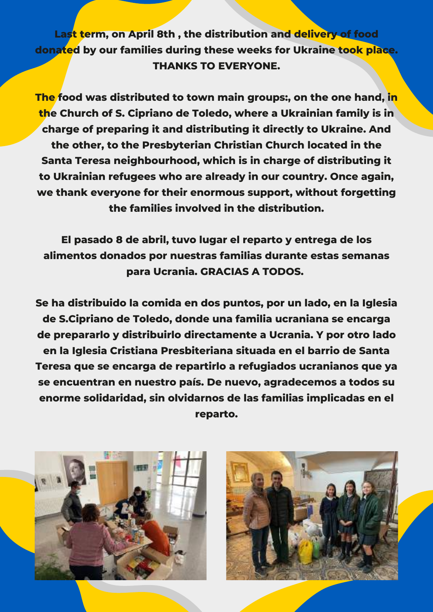**Last term, on April 8th , the distribution and delivery of food donated by our families during these weeks for Ukraine took place. THANKS TO EVERYONE.**

**The food was distributed to town main groups:, on the one hand, in the Church of S. Cipriano de Toledo, where a Ukrainian family is in charge of preparing it and distributing it directly to Ukraine. And the other, to the Presbyterian Christian Church located in the Santa Teresa neighbourhood, which is in charge of distributing it to Ukrainian refugees who are already in our country. Once again, we thank everyone for their enormous support, without forgetting the families involved in the distribution.**

**El pasado 8 de abril, tuvo lugar el reparto y entrega de los alimentos donados por nuestras familias durante estas semanas para Ucrania. GRACIAS A TODOS.**

**Se ha distribuido la comida en dos puntos, por un lado, en la Iglesia de S.Cipriano de Toledo, donde una familia ucraniana se encarga de prepararlo y distribuirlo directamente a Ucrania. Y por otro lado en la Iglesia Cristiana Presbiteriana situada en el barrio de Santa Teresa que se encarga de repartirlo a refugiados ucranianos que ya se encuentran en nuestro país. De nuevo, agradecemos a todos su enorme solidaridad, sin olvidarnos de las familias implicadas en el reparto.**